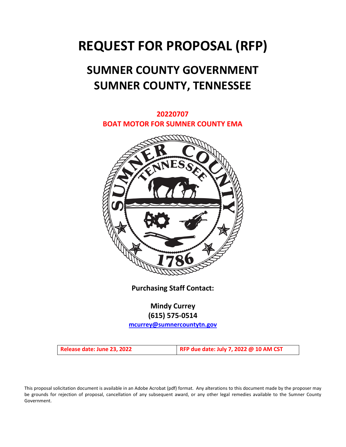# **REQUEST FOR PROPOSAL (RFP)**

# **SUMNER COUNTY GOVERNMENT SUMNER COUNTY, TENNESSEE**



**Purchasing Staff Contact:**

**Mindy Currey (615) 575-0514**

**[mcurrey@sumnercountytn.gov](mailto:mcurrey@sumnercountytn.gov)**

**Release date: June 23, 2022 RFP due date: July 7, 2022 @ 10 AM CST**

This proposal solicitation document is available in an Adobe Acrobat (pdf) format. Any alterations to this document made by the proposer may be grounds for rejection of proposal, cancellation of any subsequent award, or any other legal remedies available to the Sumner County Government.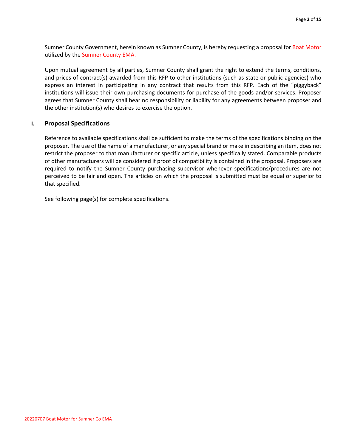Sumner County Government, herein known as Sumner County, is hereby requesting a proposal for Boat Motor utilized by the Sumner County EMA.

Upon mutual agreement by all parties, Sumner County shall grant the right to extend the terms, conditions, and prices of contract(s) awarded from this RFP to other institutions (such as state or public agencies) who express an interest in participating in any contract that results from this RFP. Each of the "piggyback" institutions will issue their own purchasing documents for purchase of the goods and/or services. Proposer agrees that Sumner County shall bear no responsibility or liability for any agreements between proposer and the other institution(s) who desires to exercise the option.

# **I. Proposal Specifications**

Reference to available specifications shall be sufficient to make the terms of the specifications binding on the proposer. The use of the name of a manufacturer, or any special brand or make in describing an item, does not restrict the proposer to that manufacturer or specific article, unless specifically stated. Comparable products of other manufacturers will be considered if proof of compatibility is contained in the proposal. Proposers are required to notify the Sumner County purchasing supervisor whenever specifications/procedures are not perceived to be fair and open. The articles on which the proposal is submitted must be equal or superior to that specified.

See following page(s) for complete specifications.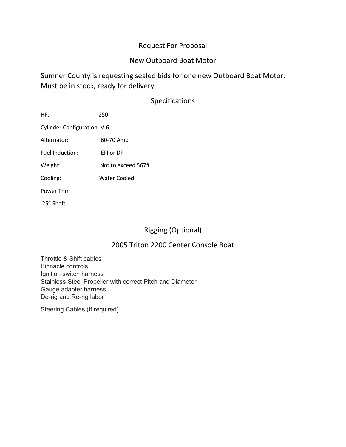# Request For Proposal

# New Outboard Boat Motor

Sumner County is requesting sealed bids for one new Outboard Boat Motor. Must be in stock, ready for delivery.

# Specifications

| HP:                                | 250                |  |
|------------------------------------|--------------------|--|
| <b>Cylinder Configuration: V-6</b> |                    |  |
| Alternator:                        | 60-70 Amp          |  |
| <b>Fuel Induction:</b>             | <b>EFI or DFI</b>  |  |
| Weight:                            | Not to exceed 567# |  |
| Cooling:                           | Water Cooled       |  |
| <b>Power Trim</b>                  |                    |  |
| 25" Shaft                          |                    |  |

# Rigging (Optional)

# 2005 Triton 2200 Center Console Boat

Throttle & Shift cables Binnacle controls Ignition switch harness Stainless Steel Propeller with correct Pitch and Diameter Gauge adapter harness De-rig and Re-rig labor

Steering Cables (If required)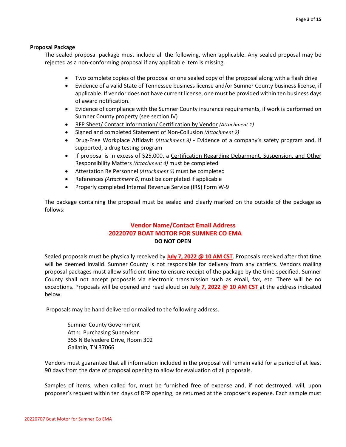## **Proposal Package**

The sealed proposal package must include all the following, when applicable. Any sealed proposal may be rejected as a non-conforming proposal if any applicable item is missing.

- Two complete copies of the proposal or one sealed copy of the proposal along with a flash drive
- Evidence of a valid State of Tennessee business license and/or Sumner County business license, if applicable. If vendor does not have current license, one must be provided within ten business days of award notification.
- Evidence of compliance with the Sumner County insurance requirements, if work is performed on Sumner County property (see section IV)
- RFP Sheet/ Contact Information/ Certification by Vendor *(Attachment 1)*
- Signed and completed Statement of Non-Collusion *(Attachment 2)*
- Drug-Free Workplace Affidavit *(Attachment 3)* Evidence of a company's safety program and, if supported, a drug testing program
- If proposal is in excess of \$25,000, a Certification Regarding Debarment, Suspension, and Other Responsibility Matters *(Attachment 4)* must be completed
- Attestation Re Personnel *(Attachment 5)* must be completed
- References *(Attachment 6)* must be completed if applicable
- Properly completed Internal Revenue Service (IRS) Form W-9

The package containing the proposal must be sealed and clearly marked on the outside of the package as follows:

# **Vendor Name/Contact Email Address 20220707 BOAT MOTOR FOR SUMNER CO EMA DO NOT OPEN**

Sealed proposals must be physically received by **July 7, 2022 @ 10 AM CST**. Proposals received after that time will be deemed invalid. Sumner County is not responsible for delivery from any carriers. Vendors mailing proposal packages must allow sufficient time to ensure receipt of the package by the time specified. Sumner County shall not accept proposals via electronic transmission such as email, fax, etc. There will be no exceptions. Proposals will be opened and read aloud on **July 7, 2022 @ 10 AM CST** at the address indicated below.

Proposals may be hand delivered or mailed to the following address.

Sumner County Government Attn: Purchasing Supervisor 355 N Belvedere Drive, Room 302 Gallatin, TN 37066

Vendors must guarantee that all information included in the proposal will remain valid for a period of at least 90 days from the date of proposal opening to allow for evaluation of all proposals.

Samples of items, when called for, must be furnished free of expense and, if not destroyed, will, upon proposer's request within ten days of RFP opening, be returned at the proposer's expense. Each sample must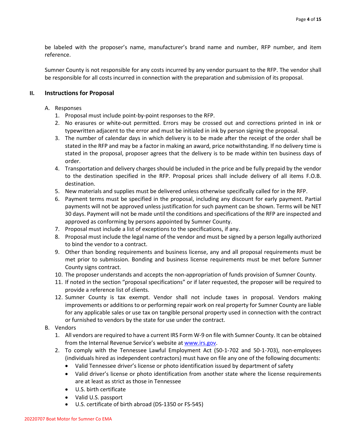be labeled with the proposer's name, manufacturer's brand name and number, RFP number, and item reference.

Sumner County is not responsible for any costs incurred by any vendor pursuant to the RFP. The vendor shall be responsible for all costs incurred in connection with the preparation and submission of its proposal.

# **II. Instructions for Proposal**

# A. Responses

- 1. Proposal must include point-by-point responses to the RFP.
- 2. No erasures or white-out permitted. Errors may be crossed out and corrections printed in ink or typewritten adjacent to the error and must be initialed in ink by person signing the proposal.
- 3. The number of calendar days in which delivery is to be made after the receipt of the order shall be stated in the RFP and may be a factor in making an award, price notwithstanding. If no delivery time is stated in the proposal, proposer agrees that the delivery is to be made within ten business days of order.
- 4. Transportation and delivery charges should be included in the price and be fully prepaid by the vendor to the destination specified in the RFP. Proposal prices shall include delivery of all items F.O.B. destination.
- 5. New materials and supplies must be delivered unless otherwise specifically called for in the RFP.
- 6. Payment terms must be specified in the proposal, including any discount for early payment. Partial payments will not be approved unless justification for such payment can be shown. Terms will be NET 30 days. Payment will not be made until the conditions and specifications of the RFP are inspected and approved as conforming by persons appointed by Sumner County.
- 7. Proposal must include a list of exceptions to the specifications, if any.
- 8. Proposal must include the legal name of the vendor and must be signed by a person legally authorized to bind the vendor to a contract.
- 9. Other than bonding requirements and business license, any and all proposal requirements must be met prior to submission. Bonding and business license requirements must be met before Sumner County signs contract.
- 10. The proposer understands and accepts the non-appropriation of funds provision of Sumner County.
- 11. If noted in the section "proposal specifications" or if later requested, the proposer will be required to provide a reference list of clients.
- 12. Sumner County is tax exempt. Vendor shall not include taxes in proposal. Vendors making improvements or additions to or performing repair work on real property for Sumner County are liable for any applicable sales or use tax on tangible personal property used in connection with the contract or furnished to vendors by the state for use under the contract.
- B. Vendors
	- 1. All vendors are required to have a current IRS Form W-9 on file with Sumner County. It can be obtained from the Internal Revenue Service's website a[t www.irs.gov.](http://www.irs.gov/)
	- 2. To comply with the Tennessee Lawful Employment Act (50-1-702 and 50-1-703), non-employees (individuals hired as independent contractors) must have on file any one of the following documents:
		- Valid Tennessee driver's license or photo identification issued by department of safety
		- Valid driver's license or photo identification from another state where the license requirements are at least as strict as those in Tennessee
		- U.S. birth certificate
		- Valid U.S. passport
		- U.S. certificate of birth abroad (DS-1350 or FS-545)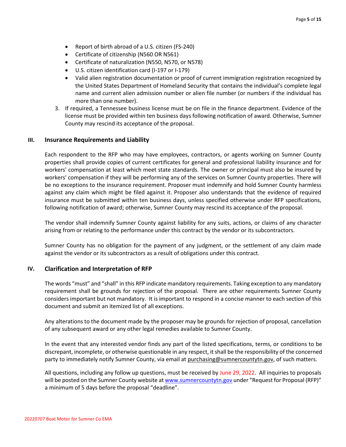- Report of birth abroad of a U.S. citizen (FS-240)
- Certificate of citizenship (N560 OR N561)
- Certificate of naturalization (N550, N570, or N578)
- U.S. citizen identification card (I-197 or I-179)
- Valid alien registration documentation or proof of current immigration registration recognized by the United States Department of Homeland Security that contains the individual's complete legal name and current alien admission number or alien file number (or numbers if the individual has more than one number).
- 3. If required, a Tennessee business license must be on file in the finance department. Evidence of the license must be provided within ten business days following notification of award. Otherwise, Sumner County may rescind its acceptance of the proposal.

### **III. Insurance Requirements and Liability**

Each respondent to the RFP who may have employees, contractors, or agents working on Sumner County properties shall provide copies of current certificates for general and professional liability insurance and for workers' compensation at least which meet state standards. The owner or principal must also be insured by workers' compensation if they will be performing any of the services on Sumner County properties. There will be no exceptions to the insurance requirement. Proposer must indemnify and hold Sumner County harmless against any claim which might be filed against it. Proposer also understands that the evidence of required insurance must be submitted within ten business days, unless specified otherwise under RFP specifications, following notification of award; otherwise, Sumner County may rescind its acceptance of the proposal.

The vendor shall indemnify Sumner County against liability for any suits, actions, or claims of any character arising from or relating to the performance under this contract by the vendor or its subcontractors.

Sumner County has no obligation for the payment of any judgment, or the settlement of any claim made against the vendor or its subcontractors as a result of obligations under this contract.

#### **IV. Clarification and Interpretation of RFP**

The words "must" and "shall" in this RFP indicate mandatory requirements. Taking exception to any mandatory requirement shall be grounds for rejection of the proposal. There are other requirements Sumner County considers important but not mandatory. It is important to respond in a concise manner to each section of this document and submit an itemized list of all exceptions.

Any alterations to the document made by the proposer may be grounds for rejection of proposal, cancellation of any subsequent award or any other legal remedies available to Sumner County.

In the event that any interested vendor finds any part of the listed specifications, terms, or conditions to be discrepant, incomplete, or otherwise questionable in any respect, it shall be the responsibility of the concerned party to immediately notify Sumner County, via email at purchasing@sumnercountytn.gov, of such matters.

All questions, including any follow up questions, must be received by June 29, 2022. All inquiries to proposals will be posted on the Sumner County website a[t www.sumnercountytn.gov](http://www.sumnercountytn.gov/) under "Request for Proposal (RFP)" a minimum of 5 days before the proposal "deadline".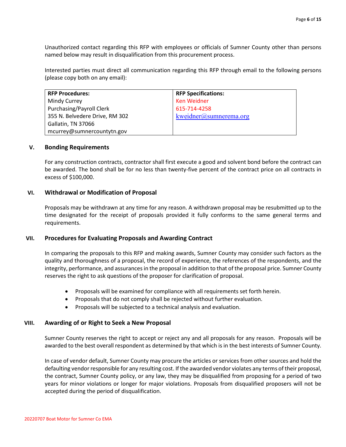Unauthorized contact regarding this RFP with employees or officials of Sumner County other than persons named below may result in disqualification from this procurement process.

Interested parties must direct all communication regarding this RFP through email to the following persons (please copy both on any email):

| <b>RFP Procedures:</b>         | <b>RFP Specifications:</b> |
|--------------------------------|----------------------------|
| Mindy Currey                   | <b>Ken Weidner</b>         |
| Purchasing/Payroll Clerk       | 615-714-4258               |
| 355 N. Belvedere Drive, RM 302 | kweidner@sumnerema.org     |
| Gallatin, TN 37066             |                            |
| mcurrey@sumnercountytn.gov     |                            |

#### **V. Bonding Requirements**

For any construction contracts, contractor shall first execute a good and solvent bond before the contract can be awarded. The bond shall be for no less than twenty-five percent of the contract price on all contracts in excess of \$100,000.

### **VI. Withdrawal or Modification of Proposal**

Proposals may be withdrawn at any time for any reason. A withdrawn proposal may be resubmitted up to the time designated for the receipt of proposals provided it fully conforms to the same general terms and requirements.

### **VII. Procedures for Evaluating Proposals and Awarding Contract**

In comparing the proposals to this RFP and making awards, Sumner County may consider such factors as the quality and thoroughness of a proposal, the record of experience, the references of the respondents, and the integrity, performance, and assurances in the proposal in addition to that of the proposal price. Sumner County reserves the right to ask questions of the proposer for clarification of proposal.

- Proposals will be examined for compliance with all requirements set forth herein.
- Proposals that do not comply shall be rejected without further evaluation.
- Proposals will be subjected to a technical analysis and evaluation.

### **VIII. Awarding of or Right to Seek a New Proposal**

Sumner County reserves the right to accept or reject any and all proposals for any reason.Proposals will be awarded to the best overall respondent as determined by that which is in the best interests of Sumner County.

In case of vendor default, Sumner County may procure the articles or services from other sources and hold the defaulting vendor responsible for any resulting cost. If the awarded vendor violates any terms of their proposal, the contract, Sumner County policy, or any law, they may be disqualified from proposing for a period of two years for minor violations or longer for major violations. Proposals from disqualified proposers will not be accepted during the period of disqualification.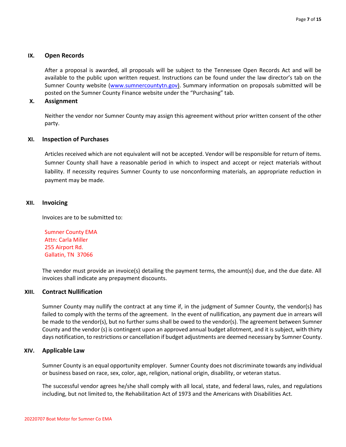## **IX. Open Records**

After a proposal is awarded, all proposals will be subject to the Tennessee Open Records Act and will be available to the public upon written request. Instructions can be found under the law director's tab on the Sumner County website [\(www.sumnercountytn.gov\)](http://www.sumnercountytn.gov/). Summary information on proposals submitted will be posted on the Sumner County Finance website under the "Purchasing" tab.

### **X. Assignment**

Neither the vendor nor Sumner County may assign this agreement without prior written consent of the other party.

### **XI. Inspection of Purchases**

Articles received which are not equivalent will not be accepted. Vendor will be responsible for return of items. Sumner County shall have a reasonable period in which to inspect and accept or reject materials without liability. If necessity requires Sumner County to use nonconforming materials, an appropriate reduction in payment may be made.

### **XII. Invoicing**

Invoices are to be submitted to:

Sumner County EMA Attn: Carla Miller 255 Airport Rd. Gallatin, TN 37066

The vendor must provide an invoice(s) detailing the payment terms, the amount(s) due, and the due date. All invoices shall indicate any prepayment discounts.

#### **XIII. Contract Nullification**

Sumner County may nullify the contract at any time if, in the judgment of Sumner County, the vendor(s) has failed to comply with the terms of the agreement. In the event of nullification, any payment due in arrears will be made to the vendor(s), but no further sums shall be owed to the vendor(s). The agreement between Sumner County and the vendor (s) is contingent upon an approved annual budget allotment, and it is subject, with thirty days notification, to restrictions or cancellation if budget adjustments are deemed necessary by Sumner County.

### **XIV. Applicable Law**

Sumner County is an equal opportunity employer. Sumner County does not discriminate towards any individual or business based on race, sex, color, age, religion, national origin, disability, or veteran status.

The successful vendor agrees he/she shall comply with all local, state, and federal laws, rules, and regulations including, but not limited to, the Rehabilitation Act of 1973 and the Americans with Disabilities Act.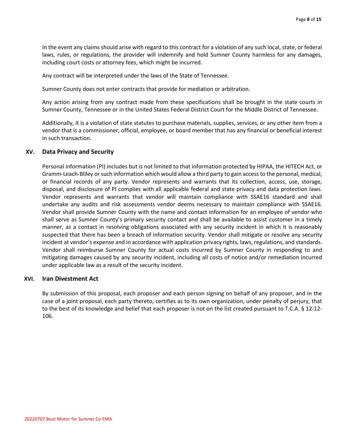In the event any claims should arise with regard to this contract for a violation of any such local, state, or federal laws, rules, or regulations, the provider will indemnify and hold Sumner County harmless for any damages, including court costs or attorney fees, which might be incurred.

Any contract will be interpreted under the laws of the State of Tennessee.

Sumner County does not enter contracts that provide for mediation or arbitration.

Any action arising from any contract made from these specifications shall be brought in the state courts in Sumner County, Tennessee or in the United States Federal District Court for the Middle District of Tennessee.

Additionally, it is a violation of state statutes to purchase materials, supplies, services, or any other item from a vendor that is a commissioner, official, employee, or board member that has any financial or beneficial interest in such transaction.

#### **XV. Data Privacy and Security**

Personal information (PI) includes but is not limited to that information protected by HIPAA, the HITECH Act, or Gramm-Leach-Bliley or such information which would allow a third party to gain access to the personal, medical, or financial records of any party. Vendor represents and warrants that its collection, access, use, storage, disposal, and disclosure of PI complies with all applicable federal and state privacy and data protection laws. Vendor represents and warrants that vendor will maintain compliance with SSAE16 standard and shall undertake any audits and risk assessments vendor deems necessary to maintain compliance with SSAE16. Vendor shall provide Sumner County with the name and contact information for an employee of vendor who shall serve as Sumner County's primary security contact and shall be available to assist customer in a timely manner, as a contact in resolving obligations associated with any security incident in which it is reasonably suspected that there has been a breach of information security. Vendor shall mitigate or resolve any security incident at vendor's expense and in accordance with application privacy rights, laws, regulations, and standards. Vendor shall reimburse Sumner County for actual costs incurred by Sumner County in responding to and mitigating damages caused by any security incident, including all costs of notice and/or remediation incurred under applicable law as a result of the security incident.

#### **XVI. Iran Divestment Act**

By submission of this proposal, each proposer and each person signing on behalf of any proposer, and in the case of a joint proposal, each party thereto, certifies as to its own organization, under penalty of perjury, that to the best of its knowledge and belief that each proposer is not on the list created pursuant to T.C.A. § 12-12- 106.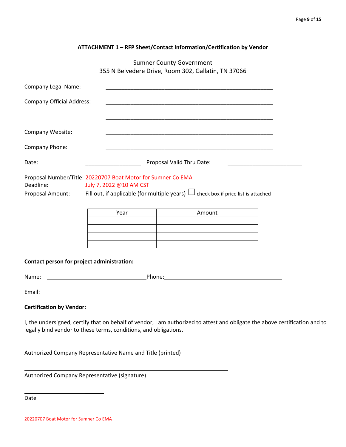| ATTACHMENT 1 - RFP Sheet/Contact Information/Certification by Vendor |
|----------------------------------------------------------------------|
|----------------------------------------------------------------------|

Sumner County Government 355 N Belvedere Drive, Room 302, Gallatin, TN 37066

| <b>Company Legal Name:</b>                                                                                                                                                                                                 |                                                                  | <u> 1989 - Johann John Stoff, deutscher Stoffen und der Stoffen und der Stoffen und der Stoffen und der Stoffen u</u> |                                                                                                                             |
|----------------------------------------------------------------------------------------------------------------------------------------------------------------------------------------------------------------------------|------------------------------------------------------------------|-----------------------------------------------------------------------------------------------------------------------|-----------------------------------------------------------------------------------------------------------------------------|
| <b>Company Official Address:</b>                                                                                                                                                                                           |                                                                  |                                                                                                                       |                                                                                                                             |
|                                                                                                                                                                                                                            |                                                                  |                                                                                                                       |                                                                                                                             |
| Company Website:                                                                                                                                                                                                           |                                                                  | <u> 1989 - Johann Stoff, amerikansk politiker (d. 1989)</u>                                                           |                                                                                                                             |
| Company Phone:                                                                                                                                                                                                             |                                                                  |                                                                                                                       |                                                                                                                             |
| Date:                                                                                                                                                                                                                      | <b>Example 2 Proposal Valid Thru Date:</b>                       |                                                                                                                       |                                                                                                                             |
| Proposal Number/Title: 20220707 Boat Motor for Sumner Co EMA<br>Deadline:<br>July 7, 2022 @10 AM CST<br>Fill out, if applicable (for multiple years) $\Box$ check box if price list is attached<br><b>Proposal Amount:</b> |                                                                  |                                                                                                                       |                                                                                                                             |
|                                                                                                                                                                                                                            | Year                                                             | Amount                                                                                                                |                                                                                                                             |
|                                                                                                                                                                                                                            |                                                                  |                                                                                                                       |                                                                                                                             |
|                                                                                                                                                                                                                            |                                                                  | <u> 1989 - Johann John Harry Harry Harry Harry Harry Harry Harry Harry Harry Harry Harry Harry Harry Harry Harry</u>  |                                                                                                                             |
| Contact person for project administration:                                                                                                                                                                                 |                                                                  |                                                                                                                       |                                                                                                                             |
| Name:                                                                                                                                                                                                                      |                                                                  |                                                                                                                       |                                                                                                                             |
| Email:                                                                                                                                                                                                                     |                                                                  |                                                                                                                       |                                                                                                                             |
| <b>Certification by Vendor:</b>                                                                                                                                                                                            |                                                                  |                                                                                                                       |                                                                                                                             |
|                                                                                                                                                                                                                            | legally bind vendor to these terms, conditions, and obligations. |                                                                                                                       | I, the undersigned, certify that on behalf of vendor, I am authorized to attest and obligate the above certification and to |

Authorized Company Representative Name and Title (printed)

Authorized Company Representative (signature)

 $\overline{\phantom{a}}$ 

Date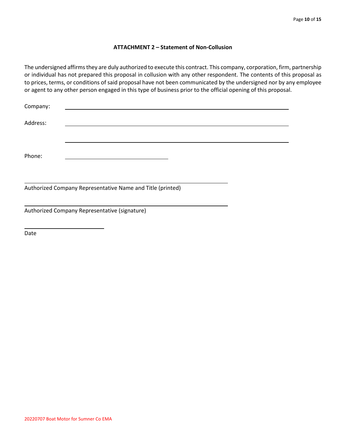## **ATTACHMENT 2 – Statement of Non-Collusion**

The undersigned affirms they are duly authorized to execute this contract. This company, corporation, firm, partnership or individual has not prepared this proposal in collusion with any other respondent. The contents of this proposal as to prices, terms, or conditions of said proposal have not been communicated by the undersigned nor by any employee or agent to any other person engaged in this type of business prior to the official opening of this proposal.

| Company: |                                                            |  |
|----------|------------------------------------------------------------|--|
| Address: |                                                            |  |
| Phone:   |                                                            |  |
|          | Authorized Company Representative Name and Title (printed) |  |
|          | Authorized Company Representative (signature)              |  |

Date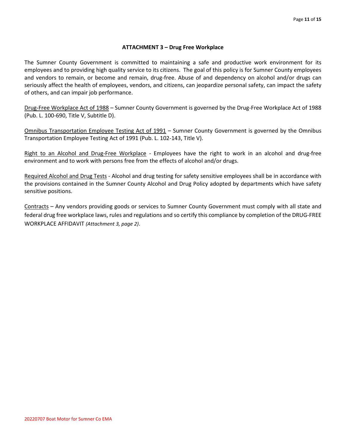# **ATTACHMENT 3 – Drug Free Workplace**

The Sumner County Government is committed to maintaining a safe and productive work environment for its employees and to providing high quality service to its citizens. The goal of this policy is for Sumner County employees and vendors to remain, or become and remain, drug-free. Abuse of and dependency on alcohol and/or drugs can seriously affect the health of employees, vendors, and citizens, can jeopardize personal safety, can impact the safety of others, and can impair job performance.

Drug-Free Workplace Act of 1988 – Sumner County Government is governed by the Drug-Free Workplace Act of 1988 (Pub. L. 100-690, Title V, Subtitle D).

Omnibus Transportation Employee Testing Act of 1991 – Sumner County Government is governed by the Omnibus Transportation Employee Testing Act of 1991 (Pub. L. 102-143, Title V).

Right to an Alcohol and Drug-Free Workplace - Employees have the right to work in an alcohol and drug-free environment and to work with persons free from the effects of alcohol and/or drugs.

Required Alcohol and Drug Tests - Alcohol and drug testing for safety sensitive employees shall be in accordance with the provisions contained in the Sumner County Alcohol and Drug Policy adopted by departments which have safety sensitive positions.

Contracts – Any vendors providing goods or services to Sumner County Government must comply with all state and federal drug free workplace laws, rules and regulations and so certify this compliance by completion of the DRUG-FREE WORKPLACE AFFIDAVIT *(Attachment 3, page 2)*.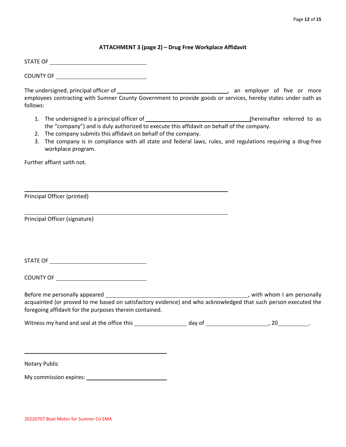# **ATTACHMENT 3 (page 2) – Drug Free Workplace Affidavit**

STATE OF

COUNTY OF

The undersigned, principal officer of *and a matter of the state of five or more* , an employer of five or more employees contracting with Sumner County Government to provide goods or services, hereby states under oath as follows:

- 1. The undersigned is a principal officer of (hereinafter referred to as the "company") and is duly authorized to execute this affidavit on behalf of the company.
- 2. The company submits this affidavit on behalf of the company.
- 3. The company is in compliance with all state and federal laws, rules, and regulations requiring a drug-free workplace program.

Further affiant saith not.

Principal Officer (printed)

Principal Officer (signature)

STATE OF

COUNTY OF

Before me personally appeared , with whom I am personally acquainted (or proved to me based on satisfactory evidence) and who acknowledged that such person executed the foregoing affidavit for the purposes therein contained.

| Witness my hand and seal at the office this | dav of |  |
|---------------------------------------------|--------|--|
|---------------------------------------------|--------|--|

Notary Public

My commission expires: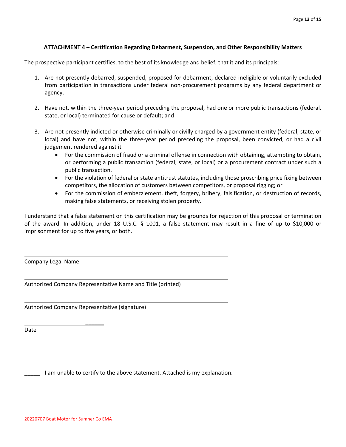# **ATTACHMENT 4 – Certification Regarding Debarment, Suspension, and Other Responsibility Matters**

The prospective participant certifies, to the best of its knowledge and belief, that it and its principals:

- 1. Are not presently debarred, suspended, proposed for debarment, declared ineligible or voluntarily excluded from participation in transactions under federal non-procurement programs by any federal department or agency.
- 2. Have not, within the three-year period preceding the proposal, had one or more public transactions (federal, state, or local) terminated for cause or default; and
- 3. Are not presently indicted or otherwise criminally or civilly charged by a government entity (federal, state, or local) and have not, within the three-year period preceding the proposal, been convicted, or had a civil judgement rendered against it
	- For the commission of fraud or a criminal offense in connection with obtaining, attempting to obtain, or performing a public transaction (federal, state, or local) or a procurement contract under such a public transaction.
	- For the violation of federal or state antitrust statutes, including those proscribing price fixing between competitors, the allocation of customers between competitors, or proposal rigging; or
	- For the commission of embezzlement, theft, forgery, bribery, falsification, or destruction of records, making false statements, or receiving stolen property.

I understand that a false statement on this certification may be grounds for rejection of this proposal or termination of the award. In addition, under 18 U.S.C. § 1001, a false statement may result in a fine of up to \$10,000 or imprisonment for up to five years, or both.

Company Legal Name

Authorized Company Representative Name and Title (printed)

Authorized Company Representative (signature)

 $\overline{\phantom{a}}$ 

Date

\_\_\_\_\_ I am unable to certify to the above statement. Attached is my explanation.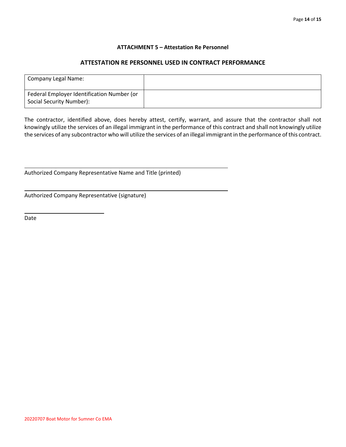## **ATTACHMENT 5 – Attestation Re Personnel**

# **ATTESTATION RE PERSONNEL USED IN CONTRACT PERFORMANCE**

| Company Legal Name:                                                    |  |
|------------------------------------------------------------------------|--|
| Federal Employer Identification Number (or<br>Social Security Number): |  |

The contractor, identified above, does hereby attest, certify, warrant, and assure that the contractor shall not knowingly utilize the services of an illegal immigrant in the performance of this contract and shall not knowingly utilize the services of any subcontractor who will utilize the services of an illegal immigrant in the performance of this contract.

Authorized Company Representative Name and Title (printed)

Authorized Company Representative (signature)

 $\overline{\phantom{a}}$ 

Date